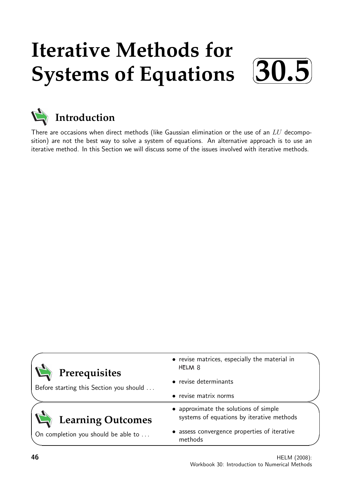## **Iterative Methods for Systems of Equations**  $\sqrt{2}$ ✒ **30.5**✑



# **Introduction**

There are occasions when direct methods (like Gaussian elimination or the use of an  $LU$  decomposition) are not the best way to solve a system of equations. An alternative approach is to use an iterative method. In this Section we will discuss some of the issues involved with iterative methods.

| • revise matrices, especially the material in<br>HELM <sub>8</sub>                 |
|------------------------------------------------------------------------------------|
| • revise determinants                                                              |
| • revise matrix norms                                                              |
| • approximate the solutions of simple<br>systems of equations by iterative methods |
| • assess convergence properties of iterative<br>methods                            |
|                                                                                    |

✏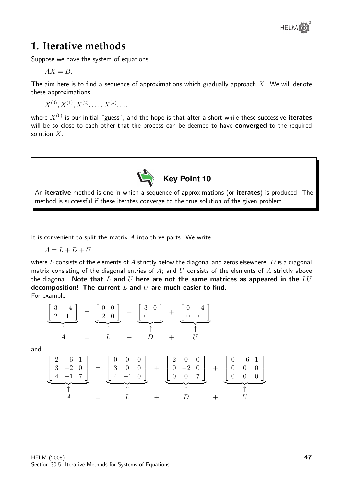

## **1. Iterative methods**

Suppose we have the system of equations

$$
AX = B.
$$

The aim here is to find a sequence of approximations which gradually approach  $X$ . We will denote these approximations

 $X^{(0)}, X^{(1)}, X^{(2)}, \ldots, X^{(k)}, \ldots$ 

where  $X^{(0)}$  is our initial "guess", and the hope is that after a short while these successive **iterates** will be so close to each other that the process can be deemed to have converged to the required solution  $X$ .



It is convenient to split the matrix  $A$  into three parts. We write

$$
A = L + D + U
$$

where L consists of the elements of A strictly below the diagonal and zeros elsewhere; D is a diagonal matrix consisting of the diagonal entries of  $A$ ; and  $U$  consists of the elements of  $A$  strictly above the diagonal. Note that L and U here are not the same matrices as appeared in the  $LU$ decomposition! The current  $L$  and  $U$  are much easier to find. For example

$$
\begin{bmatrix} 3 & -4 \ 2 & 1 \end{bmatrix} = \underbrace{\begin{bmatrix} 0 & 0 \ 2 & 0 \end{bmatrix}}_{\uparrow} + \underbrace{\begin{bmatrix} 3 & 0 \ 0 & 1 \end{bmatrix}}_{\uparrow} + \underbrace{\begin{bmatrix} 0 & -4 \ 0 & 0 \end{bmatrix}}_{\uparrow}
$$

and

$$
\begin{bmatrix} 2 & -6 & 1 \ 3 & -2 & 0 \ 4 & -1 & 7 \end{bmatrix} = \underbrace{\begin{bmatrix} 0 & 0 & 0 \ 3 & 0 & 0 \ 4 & -1 & 0 \end{bmatrix}}_{\uparrow} + \underbrace{\begin{bmatrix} 2 & 0 & 0 \ 0 & -2 & 0 \ 0 & 0 & 7 \end{bmatrix}}_{\uparrow} + \underbrace{\begin{bmatrix} 0 & -6 & 1 \ 0 & 0 & 0 \ 0 & 0 & 0 \end{bmatrix}}_{\uparrow}
$$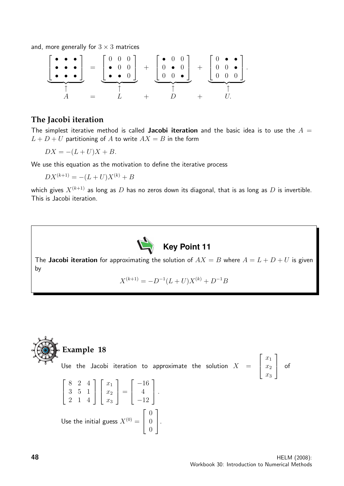and, more generally for  $3 \times 3$  matrices

$$
\left[\begin{array}{c}\n\bullet & \bullet & \bullet \\
\bullet & \bullet & \bullet \\
\bullet & \bullet & \bullet\n\end{array}\right] = \left[\begin{array}{cc} 0 & 0 & 0 \\
\bullet & 0 & 0 \\
\bullet & \bullet & 0\n\end{array}\right] + \left[\begin{array}{cc} \bullet & 0 & 0 \\
0 & \bullet & 0 \\
0 & 0 & \bullet \\
\end{array}\right] + \left[\begin{array}{cc} 0 & \bullet & \bullet \\
0 & 0 & \bullet \\
0 & 0 & 0 \\
\end{array}\right].
$$

### **The Jacobi iteration**

The simplest iterative method is called Jacobi iteration and the basic idea is to use the  $A =$  $L + D + U$  partitioning of A to write  $AX = B$  in the form

$$
DX = -(L+U)X + B.
$$

We use this equation as the motivation to define the iterative process

 $DX^{(k+1)} = -(L+U)X^{(k)} + B$ 

which gives  $X^{(k+1)}$  as long as D has no zeros down its diagonal, that is as long as D is invertible. This is Jacobi iteration.



The Jacobi iteration for approximating the solution of  $AX = B$  where  $A = L + D + U$  is given by

 $X^{(k+1)} = -D^{-1}(L+U)X^{(k)} + D^{-1}B$ 

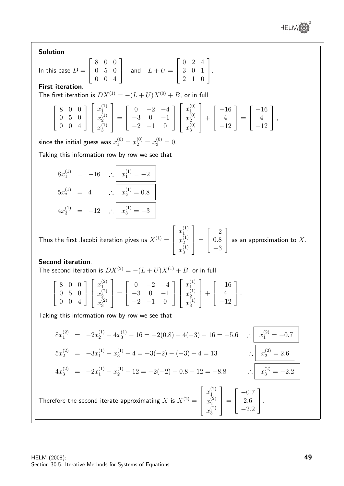Solution

**Solution**  
\nIn this case 
$$
D = \begin{bmatrix} 8 & 0 & 0 \\ 0 & 5 & 0 \\ 0 & 0 & 4 \end{bmatrix}
$$
 and  $L + U = \begin{bmatrix} 0 & 2 & 4 \\ 3 & 0 & 1 \\ 2 & 1 & 0 \end{bmatrix}$ .  
\n**First iteration.**  
\nThe first iteration is  $DX^{(1)} = -(L+U)X^{(0)} + B$ , or in full  
\n
$$
\begin{bmatrix} 8 & 0 & 0 \\ 0 & 5 & 0 \\ 0 & 0 & 4 \end{bmatrix} \begin{bmatrix} x_1^{(1)} \\ x_2^{(1)} \\ x_3^{(1)} \end{bmatrix} = \begin{bmatrix} 0 & -2 & -4 \\ -3 & 0 & -1 \\ -2 & -1 & 0 \end{bmatrix} \begin{bmatrix} x_1^{(0)} \\ x_2^{(0)} \\ x_3^{(0)} \end{bmatrix} + \begin{bmatrix} -16 \\ 4 \\ -12 \end{bmatrix} = \begin{bmatrix} -16 \\ 4 \\ -12 \end{bmatrix}
$$
,  
\nsince the initial guess was  $x_1^{(0)} = x_2^{(0)} = x_3^{(0)} = 0$ .  
\nTaking this information row by row we see that  
\n
$$
8x_1^{(1)} = -16 \quad \therefore \quad x_1^{(1)} = -2
$$
\n
$$
5x_2^{(1)} = 4 \quad \therefore \quad x_2^{(1)} = 0.8
$$
\n
$$
4x_3^{(1)} = -12 \quad \therefore \quad x_3^{(1)} = -3
$$
\nThus the first Jacobi iteration gives us  $X^{(1)} = \begin{bmatrix} x_1^{(1)} \\ x_2^{(1)} \\ x_3^{(1)} \end{bmatrix} = \begin{bmatrix} -2 \\ 0.8 \\ -3 \end{bmatrix}$  as an approximation to X.  
\n**Second iteration.**  
\nThe second iteration is  $DX^{(2)} = -(L+U)X^{(1)} + B$ , or in full  
\n
$$
\begin{bmatrix} 8 & 0 & 0 \\ 0 & 5 & 0 \\ 0 & 0 & 4 \end{bmatrix} \begin{bmatrix} x_1^{(2)} \\ x_2^{(2)} \\ x_3^{(2)} \end{bmatrix} = \begin{bmatrix} 0 & -2 & -4 \\ -3 & 0 & -1 \\ -2 & -1 & 0 \end
$$

$$
4x_3^{(2)} = -2x_1^{(1)} - x_2^{(1)} - 12 = -2(-2) - 0.8 - 12 = -8.8 \qquad \therefore \boxed{x}
$$

Therefore the second iterate approximating  $X$  is  $X^{(2)} =$  $\sqrt{ }$  $\left| \right|$  $x_1^{(2)}$ 1  $x_2^{(2)}$ 2  $x_3^{(2)}$ 3 1  $\vert$  =  $\vert$  $\lceil -0.7 \rceil$ 2.6  $-2.2$ 1  $\vert \cdot$ 

 $\binom{2}{3} = -2.2$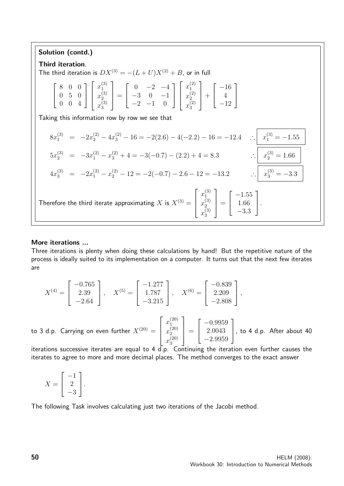#### Solution (contd.) Third iteration. The third iteration is  $DX^{(3)} = -(L+U)X^{(2)} + B$ , or in full  $\sqrt{ }$  $\vert$ 8 0 0 0 5 0 0 0 4 1  $\frac{1}{2}$  $\sqrt{ }$  $\overline{\phantom{a}}$  $x_1^{(3)}$ 1  $x_2^{(3)}$ 2  $x_3^{(3)}$ 3 1  $\Bigg| =$  $\sqrt{ }$  $\overline{\phantom{a}}$  $0 -2 -4$  $-3$  0  $-1$  $-2$   $-1$  0 1  $\overline{1}$  $\sqrt{ }$  $\overline{\phantom{a}}$  $x_1^{(2)}$ 1  $x_2^{(2)}$ 2  $x_3^{(2)}$ 3 1  $| +$  $\sqrt{ }$  $\overline{\phantom{a}}$ −16 4 −12 1  $\overline{1}$ Taking this information row by row we see that  $8x_1^{(3)} = -2x_2^{(2)} - 4x_3^{(2)} - 16 = -2(2.6) - 4(-2.2) - 16 = -12.4$  ∴  $x_1^{(3)} = -1.55$  $5x_2^{(3)} = -3x_1^{(2)} - x_3^{(2)} + 4 = -3(-0.7) - (2.2) + 4 = 8.3$   $\therefore \begin{vmatrix} x_2^{(3)} = 1.66 \end{vmatrix}$  $4x_3^{(3)} = -2x_1^{(2)} - x_2^{(2)} - 12 = -2(-0.7) - 2.6 - 12 = -13.2$   $\therefore \begin{vmatrix} x_3^{(3)} = -3.3 \end{vmatrix}$ Therefore the third iterate approximating  $X$  is  $X^{(3)} =$  $\sqrt{ }$  $\Bigg\}$  $x_1^{(3)}$ 1  $x_2^{(3)}$ 2  $x_3^{(3)}$ 3 1  $\Bigg| =$  $\sqrt{ }$  $\overline{\phantom{a}}$  $-1.55$ 1.66 −3.3 1  $\vert \cdot$

#### More iterations ...

Three iterations is plenty when doing these calculations by hand! But the repetitive nature of the process is ideally suited to its implementation on a computer. It turns out that the next few iterates are

$$
X^{(4)} = \begin{bmatrix} -0.765 \\ 2.39 \\ -2.64 \end{bmatrix}, \quad X^{(5)} = \begin{bmatrix} -1.277 \\ 1.787 \\ -3.215 \end{bmatrix}, \quad X^{(6)} = \begin{bmatrix} -0.839 \\ 2.209 \\ -2.808 \end{bmatrix},
$$

to 3 d.p. Carrying on even further  $X^{(20)}=$  $\sqrt{ }$  $\overline{\phantom{a}}$  $x_1^{(20)}$ 1  $x_2^{(20)}$ 2  $x_3^{(20)}$ 3 1  $\Bigg| =$  $\sqrt{ }$  $\overline{\phantom{a}}$ −0.9959 2.0043 −2.9959 1 , to 4 d.p. After about  $40$ 

iterations successive iterates are equal to 4 d.p. Continuing the iteration even further causes the iterates to agree to more and more decimal places. The method converges to the exact answer

$$
X = \begin{bmatrix} -1 \\ 2 \\ -3 \end{bmatrix}.
$$

The following Task involves calculating just two iterations of the Jacobi method.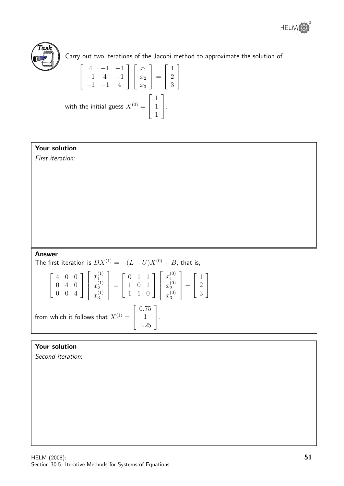



Carry out two iterations of the Jacobi method to approximate the solution of

$$
\begin{bmatrix} 4 & -1 & -1 \ -1 & 4 & -1 \ -1 & -1 & 4 \end{bmatrix} \begin{bmatrix} x_1 \ x_2 \ x_3 \end{bmatrix} = \begin{bmatrix} 1 \ 2 \ 3 \end{bmatrix}
$$
  
with the initial guess  $X^{(0)} = \begin{bmatrix} 1 \ 1 \ 1 \end{bmatrix}$ .

### Your solution

First iteration:

#### Answer

The first iteration is  $DX^{(1)} = -(L+U)X^{(0)} + B$ , that is,

$$
\begin{bmatrix} 4 & 0 & 0 \ 0 & 4 & 0 \ 0 & 0 & 4 \end{bmatrix} \begin{bmatrix} x_1^{(1)} \ x_2^{(1)} \ x_3^{(1)} \end{bmatrix} = \begin{bmatrix} 0 & 1 & 1 \ 1 & 0 & 1 \ 1 & 1 & 0 \end{bmatrix} \begin{bmatrix} x_1^{(0)} \ x_2^{(0)} \ x_3^{(0)} \end{bmatrix} + \begin{bmatrix} 1 \ 2 \ 3 \end{bmatrix}
$$
  
from which it follows that  $X^{(1)} = \begin{bmatrix} 0.75 \ 1 \ 1.25 \end{bmatrix}$ .

### Your solution

Second iteration: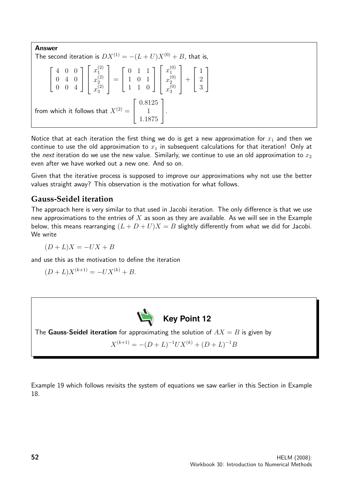Answer The second iteration is  $DX^{(1)} = -(L+U)X^{(0)} + B$ , that is,  $\sqrt{ }$  $\overline{\phantom{a}}$ 4 0 0 0 4 0 0 0 4 1  $\overline{1}$  $\sqrt{ }$  $\overline{\phantom{a}}$  $x_1^{(2)}$ 1  $x_2^{(2)}$ 2  $x_3^{(2)}$ 3 1  $\Bigg| =$  $\sqrt{ }$  $\overline{\phantom{a}}$ 0 1 1 1 0 1 1 1 0 1  $\overline{1}$  $\sqrt{ }$  $\overline{\phantom{a}}$  $x_1^{(0)}$ 1  $x_2^{(0)}$ 2  $x_3^{(0)}$ 3 1  $| +$  $\sqrt{ }$  $\overline{\phantom{a}}$ 1 2 3 1  $\vert$ from which it follows that  $X^{(2)} =$  $\sqrt{ }$  $\overline{\phantom{a}}$ 0.8125 1 1.1875 1  $\vert \cdot$ 

Notice that at each iteration the first thing we do is get a new approximation for  $x_1$  and then we continue to use the old approximation to  $x_1$  in subsequent calculations for that iteration! Only at the next iteration do we use the new value. Similarly, we continue to use an old approximation to  $x_2$ even after we have worked out a new one. And so on.

Given that the iterative process is supposed to improve our approximations why not use the better values straight away? This observation is the motivation for what follows.

### **Gauss-Seidel iteration**

The approach here is very similar to that used in Jacobi iteration. The only difference is that we use new approximations to the entries of  $X$  as soon as they are available. As we will see in the Example below, this means rearranging  $(L + D + U)X = B$  slightly differently from what we did for Jacobi. We write

 $(D + L)X = -UX + B$ 

and use this as the motivation to define the iteration

$$
(D+L)X^{(k+1)} = -UX^{(k)} + B.
$$



The **Gauss-Seidel iteration** for approximating the solution of  $AX = B$  is given by

 $X^{(k+1)} = -(D+L)^{-1}UX^{(k)} + (D+L)^{-1}B$ 

Example 19 which follows revisits the system of equations we saw earlier in this Section in Example 18.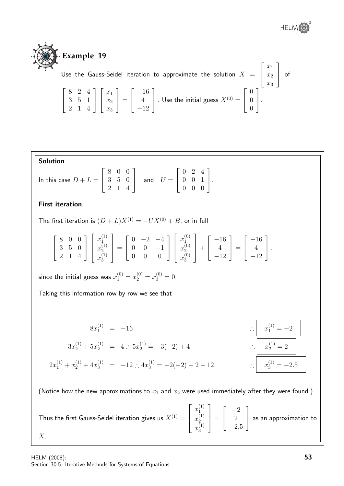



Use the Gauss-Seidel iteration to approximate the solution  $X =$  $\sqrt{ }$  $\overline{\phantom{a}}$  $\overline{x}_1$  $\overline{x_2}$  $\overline{x_3}$ 1  $\vert$  of  $\sqrt{ }$  $\overline{1}$ 8 2 4 3 5 1 2 1 4 1  $\overline{1}$  $\sqrt{ }$  $\overline{\phantom{a}}$  $\overline{x}_1$  $\overline{x_2}$  $\overline{x_3}$ 1  $\Big| =$  $\sqrt{ }$  $\overline{\phantom{a}}$ −16 4 −12 1 . Use the initial guess  $X^{(0)} =$  $\sqrt{ }$  $\overline{\phantom{a}}$ 0 0 0 1  $\vert \cdot$ 

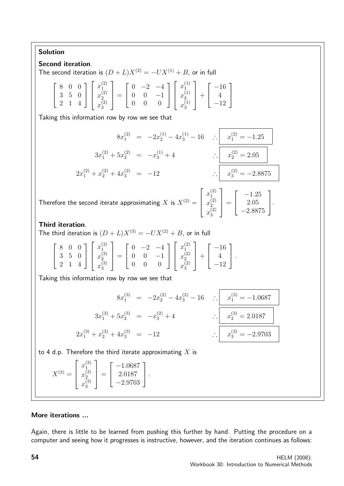### Solution

### Second iteration.

The second iteration is  $(D + L)X^{(2)} = -UX^{(1)} + B$ , or in full

| $\left[\begin{array}{ccc} 8 & 0 & 0 \\ 3 & 5 & 0 \\ 2 & 1 & 4 \end{array}\right] \left[\begin{array}{c} x_1^{(2)} \\ x_2^{(2)} \\ x_3^{(2)} \end{array}\right] = \left[\begin{array}{ccc} 0 & -2 & -4 \\ 0 & 0 & -1 \\ 0 & 0 & 0 \end{array}\right] \left[\begin{array}{c} x_1^{(1)} \\ x_2^{(1)} \\ x_3^{(1)} \end{array}\right] + \left[\begin{array}{c} -16 \\ 4 \\ -12 \end{array}\right]$ |  |  |  |  |  |
|------------------------------------------------------------------------------------------------------------------------------------------------------------------------------------------------------------------------------------------------------------------------------------------------------------------------------------------------------------------------------------------------|--|--|--|--|--|
|------------------------------------------------------------------------------------------------------------------------------------------------------------------------------------------------------------------------------------------------------------------------------------------------------------------------------------------------------------------------------------------------|--|--|--|--|--|

Taking this information row by row we see that

$$
8x_1^{(2)} = -2x_2^{(1)} - 4x_3^{(1)} - 16 \quad \therefore \quad x_1^{(2)} = -1.25
$$

$$
3x_1^{(2)} + 5x_2^{(2)} = -x_3^{(1)} + 4 \quad \therefore \quad x_2^{(2)} = 2.05
$$

$$
2x_1^{(2)} + x_2^{(2)} + 4x_3^{(2)} = -12 \quad \therefore \quad x_3^{(2)} = -2.8875
$$

Therefore the second iterate approximating  $X$  is  $X^{(2)} =$  $\sqrt{ }$  $\overline{\phantom{a}}$  $x_1^{(2)}$ 1  $x_2^{(2)}$ 2  $x_3^{(2)}$ 3 1  $\Bigg| =$  $\sqrt{ }$  $\overline{\phantom{a}}$  $-1.25$ 2.05 −2.8875 1  $\vert \cdot$ 

### Third iteration.

The third iteration is  $(D + L)X^{(3)} = -UX^{(2)} + B$ , or in full

|  |  |  |  |  |  |  | $\left[ \begin{array}{ccc} 8 & 0 & 0 \\ 3 & 5 & 0 \\ 2 & 1 & 4 \end{array} \right] \left[ \begin{array}{c} x_1^{(3)} \\ x_2^{(3)} \\ x_3^{(3)} \end{array} \right] = \left[ \begin{array}{ccc} 0 & -2 & -4 \\ 0 & 0 & -1 \\ 0 & 0 & 0 \end{array} \right] \left[ \begin{array}{c} x_1^{(2)} \\ x_2^{(2)} \\ x_3^{(2)} \end{array} \right] + \left[ \begin{array}{c} -16 \\ 4 \\ -12 \end{array} \right].$ |  |  |  |
|--|--|--|--|--|--|--|-----------------------------------------------------------------------------------------------------------------------------------------------------------------------------------------------------------------------------------------------------------------------------------------------------------------------------------------------------------------------------------------------------------|--|--|--|
|--|--|--|--|--|--|--|-----------------------------------------------------------------------------------------------------------------------------------------------------------------------------------------------------------------------------------------------------------------------------------------------------------------------------------------------------------------------------------------------------------|--|--|--|

Taking this information row by row we see that

$$
8x_1^{(3)} = -2x_2^{(2)} - 4x_3^{(2)} - 16 \quad \therefore \underbrace{\begin{array}{r} x_1^{(3)} = -1.0687 \\ x_1^{(3)} = -1.0687 \end{array}}_{\therefore 2x_1^{(3)} + x_2^{(3)} + 4x_3^{(3)} = -12 \quad \therefore \underbrace{\begin{array}{r} x_2^{(3)} = 2.0187 \\ x_3^{(3)} = -2.9703 \end{array}}_{\therefore 2x_3^{(3)} = -2.9703}
$$

to 4 d.p. Therefore the third iterate approximating  $X$  is

$$
X^{(3)} = \begin{bmatrix} x_1^{(3)} \\ x_2^{(3)} \\ x_3^{(3)} \end{bmatrix} = \begin{bmatrix} -1.0687 \\ 2.0187 \\ -2.9703 \end{bmatrix}.
$$

### More iterations ...

Again, there is little to be learned from pushing this further by hand. Putting the procedure on a computer and seeing how it progresses is instructive, however, and the iteration continues as follows: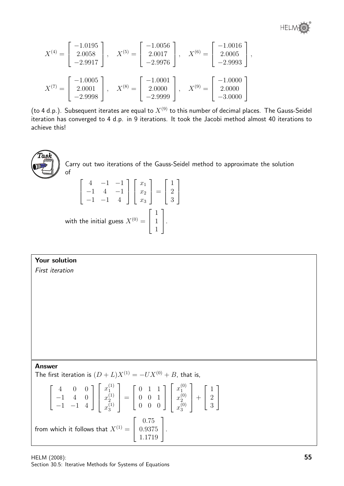

$$
X^{(4)} = \begin{bmatrix} -1.0195 \\ 2.0058 \\ -2.9917 \end{bmatrix}, \quad X^{(5)} = \begin{bmatrix} -1.0056 \\ 2.0017 \\ -2.9976 \end{bmatrix}, \quad X^{(6)} = \begin{bmatrix} -1.0016 \\ 2.0005 \\ -2.9993 \end{bmatrix},
$$

$$
X^{(7)} = \begin{bmatrix} -1.0005 \\ 2.0001 \\ -2.9998 \end{bmatrix}, \quad X^{(8)} = \begin{bmatrix} -1.0001 \\ 2.0000 \\ -2.9999 \end{bmatrix}, \quad X^{(9)} = \begin{bmatrix} -1.0000 \\ 2.0000 \\ -3.0000 \end{bmatrix}
$$

(to 4 d.p.). Subsequent iterates are equal to  $X^{(9)}$  to this number of decimal places. The Gauss-Seidel iteration has converged to 4 d.p. in 9 iterations. It took the Jacobi method almost 40 iterations to achieve this!



Carry out two iterations of the Gauss-Seidel method to approximate the solution of

$$
\begin{bmatrix} 4 & -1 & -1 \ -1 & 4 & -1 \ -1 & -1 & 4 \end{bmatrix} \begin{bmatrix} x_1 \ x_2 \ x_3 \end{bmatrix} = \begin{bmatrix} 1 \ 2 \ 3 \end{bmatrix}
$$
  
with the initial guess  $X^{(0)} = \begin{bmatrix} 1 \ 1 \ 1 \end{bmatrix}$ .

### Your solution

First iteration

Answer

The first iteration is  $(D + L)X^{(1)} = -UX^{(0)} + B$ , that is,

$$
\begin{bmatrix} 4 & 0 & 0 \ -1 & 4 & 0 \ -1 & -1 & 4 \end{bmatrix} \begin{bmatrix} x_1^{(1)} \ x_2^{(1)} \ x_3^{(1)} \end{bmatrix} = \begin{bmatrix} 0 & 1 & 1 \ 0 & 0 & 1 \ 0 & 0 & 0 \end{bmatrix} \begin{bmatrix} x_1^{(0)} \ x_2^{(0)} \ x_3^{(0)} \end{bmatrix} + \begin{bmatrix} 1 \ 2 \ 3 \end{bmatrix}
$$
  
from which it follows that  $X^{(1)} = \begin{bmatrix} 0.75 \ 0.9375 \ 1.1719 \end{bmatrix}$ .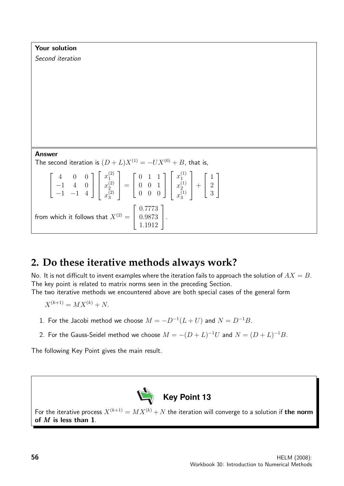| Your solution                                                                                                                                                                                                                                                                                                              |
|----------------------------------------------------------------------------------------------------------------------------------------------------------------------------------------------------------------------------------------------------------------------------------------------------------------------------|
| Second iteration                                                                                                                                                                                                                                                                                                           |
|                                                                                                                                                                                                                                                                                                                            |
|                                                                                                                                                                                                                                                                                                                            |
|                                                                                                                                                                                                                                                                                                                            |
|                                                                                                                                                                                                                                                                                                                            |
|                                                                                                                                                                                                                                                                                                                            |
|                                                                                                                                                                                                                                                                                                                            |
|                                                                                                                                                                                                                                                                                                                            |
|                                                                                                                                                                                                                                                                                                                            |
| <b>Answer</b><br>The second iteration is $(D+L)X^{(1)} = -UX^{(0)} + B$ , that is,                                                                                                                                                                                                                                         |
| $\begin{bmatrix} 4 & 0 & 0 \\ -1 & 4 & 0 \\ -1 & -1 & 4 \end{bmatrix} \begin{bmatrix} x_1^{(2)} \\ x_2^{(2)} \\ x_3^{(2)} \end{bmatrix} = \begin{bmatrix} 0 & 1 & 1 \\ 0 & 0 & 1 \\ 0 & 0 & 0 \end{bmatrix} \begin{bmatrix} x_1^{(1)} \\ x_2^{(1)} \\ x_3^{(1)} \end{bmatrix} + \begin{bmatrix} 1 \\ 2 \\ 3 \end{bmatrix}$ |
| from which it follows that $X^{(2)} = \begin{bmatrix} 0.7773 \\ 0.9873 \\ 1.1912 \end{bmatrix}$ .                                                                                                                                                                                                                          |

## **2. Do these iterative methods always work?**

No. It is not difficult to invent examples where the iteration fails to approach the solution of  $AX = B$ . The key point is related to matrix norms seen in the preceding Section.

The two iterative methods we encountered above are both special cases of the general form

- $X^{(k+1)} = MX^{(k)} + N.$
- 1. For the Jacobi method we choose  $M = -D^{-1}(L+U)$  and  $N = D^{-1}B$ .
- 2. For the Gauss-Seidel method we choose  $M = -(D+L)^{-1}U$  and  $N = (D+L)^{-1}B$ .

The following Key Point gives the main result.



For the iterative process  $X^{(k+1)} = MX^{(k)} +N$  the iteration will converge to a solution if **the norm** of  $M$  is less than 1.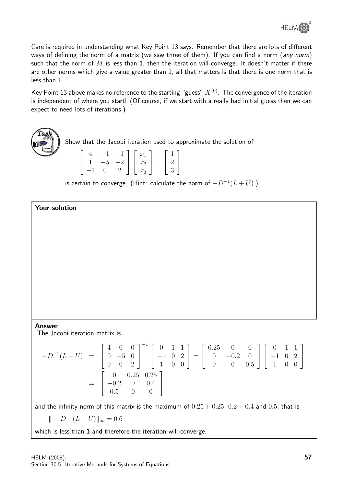Care is required in understanding what Key Point 13 says. Remember that there are lots of different ways of defining the norm of a matrix (we saw three of them). If you can find a norm (any norm) such that the norm of  $M$  is less than 1, then the iteration will converge. It doesn't matter if there are other norms which give a value greater than 1, all that matters is that there is one norm that is less than 1.

Key Point 13 above makes no reference to the starting "guess"  $X^{(0)}$ . The convergence of the iteration is independent of where you start! (Of course, if we start with a really bad initial guess then we can expect to need lots of iterations.)



Your solution

Show that the Jacobi iteration used to approximate the solution of

|  |      | $-1$ $-1$ | $x_1$ |              |   |  |
|--|------|-----------|-------|--------------|---|--|
|  | $-5$ | $-2$      | $x_2$ | $\alpha = 1$ | 2 |  |
|  |      |           | $x_3$ |              |   |  |

is certain to converge. (Hint: calculate the norm of  $-D^{-1}(L+U)$ .)

#### Answer

The Jacobi iteration matrix is

$$
-D^{-1}(L+U) = \begin{bmatrix} 4 & 0 & 0 \\ 0 & -5 & 0 \\ 0 & 0 & 2 \end{bmatrix}^{-1} \begin{bmatrix} 0 & 1 & 1 \\ -1 & 0 & 2 \\ 1 & 0 & 0 \end{bmatrix} = \begin{bmatrix} 0.25 & 0 & 0 \\ 0 & -0.2 & 0 \\ 0 & 0 & 0.5 \end{bmatrix} \begin{bmatrix} 0 & 1 & 1 \\ -1 & 0 & 2 \\ 1 & 0 & 0 \end{bmatrix}
$$

$$
= \begin{bmatrix} 0 & 0.25 & 0.25 \\ -0.2 & 0 & 0.4 \\ 0.5 & 0 & 0 \end{bmatrix}
$$

and the infinity norm of this matrix is the maximum of  $0.25 + 0.25$ ,  $0.2 + 0.4$  and 0.5, that is

$$
\| - D^{-1}(L + U) \|_{\infty} = 0.6
$$

which is less than 1 and therefore the iteration will converge.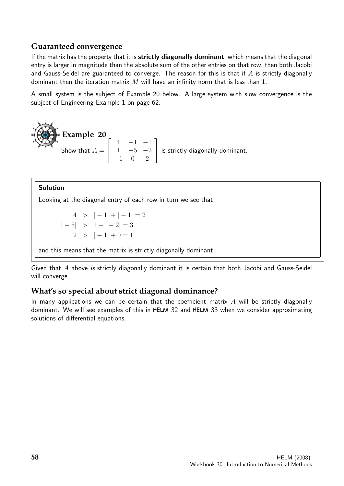### **Guaranteed convergence**

If the matrix has the property that it is strictly diagonally dominant, which means that the diagonal entry is larger in magnitude than the absolute sum of the other entries on that row, then both Jacobi and Gauss-Seidel are guaranteed to converge. The reason for this is that if  $A$  is strictly diagonally dominant then the iteration matrix  $M$  will have an infinity norm that is less than 1.

A small system is the subject of Example 20 below. A large system with slow convergence is the subject of Engineering Example 1 on page 62.

**Example 20**  
Show that 
$$
A = \begin{bmatrix} 4 & -1 & -1 \\ 1 & -5 & -2 \\ -1 & 0 & 2 \end{bmatrix}
$$
 is strictly diagonally dominant.

### Solution

Looking at the diagonal entry of each row in turn we see that

 $4 > |-1| + |-1| = 2$  $|-5| > 1 + |-2| = 3$  $2 > |-1| + 0 = 1$ 

and this means that the matrix is strictly diagonally dominant.

Given that A above is strictly diagonally dominant it is certain that both Jacobi and Gauss-Seidel will converge.

### **What's so special about strict diagonal dominance?**

In many applications we can be certain that the coefficient matrix  $\vec{A}$  will be strictly diagonally dominant. We will see examples of this in HELM 32 and HELM 33 when we consider approximating solutions of differential equations.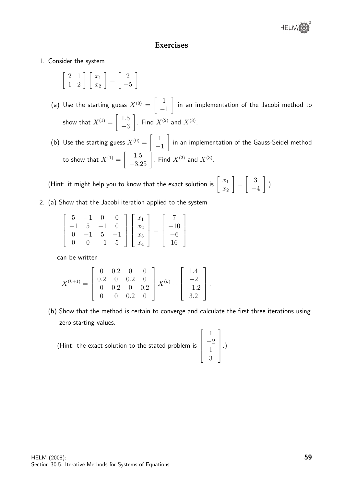### **Exercises**

- 1. Consider the system
	- $\left[\begin{array}{cc} 2 & 1 \\ 1 & 2 \end{array}\right] \left[\begin{array}{c} x_1 \\ x_2 \end{array}\right]$ 1 =  $\begin{bmatrix} 2 \end{bmatrix}$ −5 1
	- (a) Use the starting guess  $X^{(0)}=\left[\begin{array}{c} 1\end{array}\right]$ −1 1 in an implementation of the Jacobi method to show that  $X^{(1)}=\left[\begin{array}{cc} 1.5 \ 0.5 \end{array}\right]$ −3  $\Big]$ . Find  $X^{(2)}$  and  $X^{(3)}$ .
	- (b) Use the starting guess  $X^{(0)}=\left[\begin{array}{cc} 1\end{array}\right]$ −1 1 in an implementation of the Gauss-Seidel method to show that  $X^{(1)}=\left[\begin{array}{c} 1.5\ -3.25 \end{array}\right]$  . Find  $X^{(2)}$  and  $X^{(3)}$ .

(Hint: it might help you to know that the exact solution is  $\left[\begin{array}{c} x_1 \ x_2 \end{array}\right]$  $\overline{x_2}$ 1 =  $\begin{bmatrix} 3 \end{bmatrix}$ −4 1 .)

2. (a) Show that the Jacobi iteration applied to the system

$$
\begin{bmatrix} 5 & -1 & 0 & 0 \ -1 & 5 & -1 & 0 \ 0 & -1 & 5 & -1 \ 0 & 0 & -1 & 5 \end{bmatrix} \begin{bmatrix} x_1 \ x_2 \ x_3 \ x_4 \end{bmatrix} = \begin{bmatrix} 7 \ -10 \ -6 \ 16 \end{bmatrix}
$$

can be written

$$
X^{(k+1)} = \begin{bmatrix} 0 & 0.2 & 0 & 0 \\ 0.2 & 0 & 0.2 & 0 \\ 0 & 0.2 & 0 & 0.2 \\ 0 & 0 & 0.2 & 0 \end{bmatrix} X^{(k)} + \begin{bmatrix} 1.4 \\ -2 \\ -1.2 \\ 3.2 \end{bmatrix}.
$$

(b) Show that the method is certain to converge and calculate the first three iterations using zero starting values.

(Hint: the exact solution to the stated problem is

$$
\left[\begin{array}{c}1\\-2\\1\\3\end{array}\right].
$$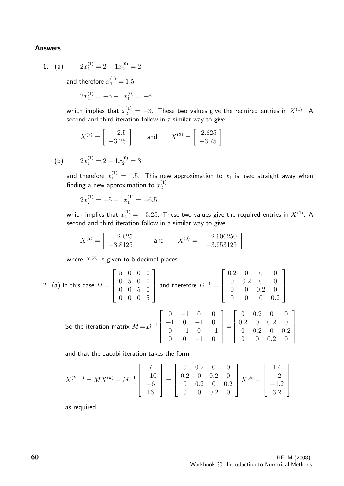#### Answers

1.  $(a)$  $x_1^{(1)} = 2 - 1x_2^{(0)} = 2$ and therefore  $x_1^{(1)}=1.5$  $2x_2^{(1)} = -5 - 1x_1^{(0)} = -6$ which implies that  $x_2^{(1)}=-3.$  These two values give the required entries in  $X^{(1)}.$  A second and third iteration follow in a similar way to give  $X^{(2)} = \begin{bmatrix} 2.5 \\ -3.25 \end{bmatrix}$  and  $X^{(3)} = \begin{bmatrix} 2.625 \\ -3.75 \end{bmatrix}$ (b)  $2x_1^{(1)} = 2 - 1x_2^{(0)} = 3$ and therefore  $x_1^{(1)}\,=\,1.5.$  This new approximation to  $x_1$  is used straight away when finding a new approximation to  $x_2^{\left( 1\right) }$  $\frac{(1)}{2}$ .  $2x_2^{(1)} = -5 - 1x_1^{(1)} = -6.5$ which implies that  $x_2^{(1)}=-3.25.$  These two values give the required entries in  $X^{(1)}.$  A second and third iteration follow in a similar way to give  $X^{(2)} = \left[ \begin{array}{c} 2.625 \ -3.8125 \end{array} \right]$  and  $X^{(3)} = \left[ \begin{array}{c} 2.906250 \ -3.953125 \end{array} \right]$ where  $X^{(3)}$  is given to 6 decimal places 2. (a) In this case  $D=$  $\sqrt{ }$  $\Big\}$ 5 0 0 0 0 5 0 0 0 0 5 0 0 0 0 5 1  $\vert$ and therefore  $D^{-1} =$  $\sqrt{ }$  $\begin{array}{c} \n\end{array}$ 0.2 0 0 0 0 0.2 0 0 0 0 0.2 0 0 0 0 0.2 So the iteration matrix  $M$   $\!=$   $\!D^{-1}$  $\sqrt{ }$  $\Big\}$ 0 −1 0 0 −1 0 −1 0 0 −1 0 −1 0 0 −1 0 1  $\overline{\phantom{a}}$ =  $\sqrt{ }$  $\begin{array}{c} \hline \end{array}$ 0 0.2 0 0 0.2 0 0.2 0 0 0.2 0 0.2 0 0 0.2 0 and that the Jacobi iteration takes the form  $X^{(k+1)} = MX^{(k)} + M^{-1}$  $\sqrt{ }$  $\Bigg\}$ 7  $-10$ −6 16 1  $\parallel$ =  $\sqrt{ }$  $\Big\}$ 0 0.2 0 0 0.2 0 0.2 0 0 0.2 0 0.2 0 0 0.2 0 1  $X^{(k)} +$ 

as required.

 $\sqrt{ }$ 

1.4  $-2$ −1.2 3.2

1

 $\Bigg\}$ 

 $\begin{matrix} \phantom{-} \end{matrix}$ 

1

 $\overline{\phantom{a}}$ .

1

 $\Big\}$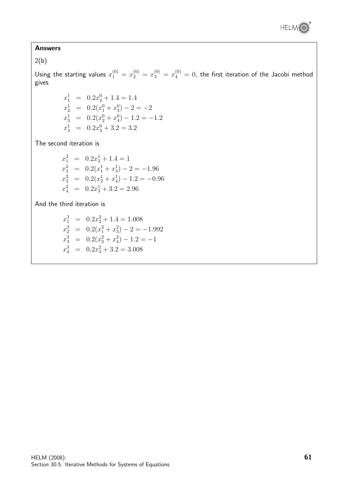

#### Answers

 $2(b)$ 

Using the starting values  $x_1^{(0)} = x_2^{(0)} = x_3^{(0)} = x_4^{(0)} = 0$ , the first iteration of the Jacobi method gives

> $x_1^1 = 0.2x_2^0 + 1.4 = 1.4$  $x_2^1 = 0.2(x_1^0 + x_3^0) - 2 = -2$  $x_3^1 = 0.2(x_2^0 + x_4^0) - 1.2 = -1.2$  $x_4^1 = 0.2x_3^0 + 3.2 = 3.2$

The second iteration is

$$
x_1^2 = 0.2x_2^1 + 1.4 = 1
$$
  
\n
$$
x_2^2 = 0.2(x_1^1 + x_3^1) - 2 = -1.96
$$
  
\n
$$
x_3^2 = 0.2(x_2^1 + x_4^1) - 1.2 = -0.96
$$
  
\n
$$
x_4^2 = 0.2x_3^1 + 3.2 = 2.96
$$

And the third iteration is

$$
x_1^3 = 0.2x_2^2 + 1.4 = 1.008
$$
  
\n
$$
x_2^3 = 0.2(x_1^2 + x_3^2) - 2 = -1.992
$$
  
\n
$$
x_3^3 = 0.2(x_2^2 + x_4^2) - 1.2 = -1
$$
  
\n
$$
x_4^3 = 0.2x_3^2 + 3.2 = 3.008
$$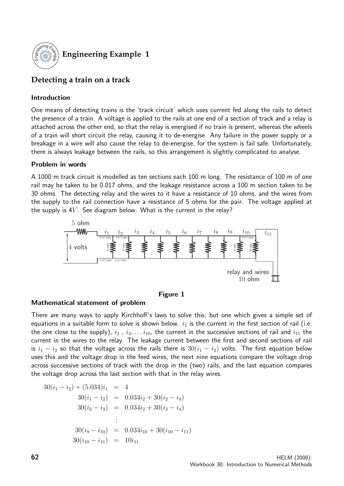

## **Engineering Example 1**

### **Detecting a train on a track**

### Introduction

One means of detecting trains is the 'track circuit' which uses current fed along the rails to detect the presence of a train. A voltage is applied to the rails at one end of a section of track and a relay is attached across the other end, so that the relay is energised if no train is present, whereas the wheels of a train will short circuit the relay, causing it to de-energise. Any failure in the power supply or a breakage in a wire will also cause the relay to de-energise, for the system is fail safe. Unfortunately, there is always leakage between the rails, so this arrangement is slightly complicated to analyse.

#### Problem in words

A 1000 m track circuit is modelled as ten sections each 100 m long. The resistance of 100 m of one rail may be taken to be 0.017 ohms, and the leakage resistance across a 100 m section taken to be 30 ohms. The detecting relay and the wires to it have a resistance of 10 ohms, and the wires from the supply to the rail connection have a resistance of 5 ohms for the pair. The voltage applied at the supply is  $4V$ . See diagram below. What is the current in the relay?



#### Figure 1

#### Mathematical statement of problem

There are many ways to apply Kirchhoff's laws to solve this, but one which gives a simple set of equations in a suitable form to solve is shown below.  $i_1$  is the current in the first section of rail (i.e. the one close to the supply),  $i_2$  ,  $i_3, \ldots i_{10}$ , the current in the successive sections of rail and  $i_{11}$  the current in the wires to the relay. The leakage current between the first and second sections of rail is  $i_1 - i_2$  so that the voltage across the rails there is  $30(i_1 - i_2)$  volts. The first equation below uses this and the voltage drop in the feed wires, the next nine equations compare the voltage drop across successive sections of track with the drop in the (two) rails, and the last equation compares the voltage drop across the last section with that in the relay wires.

$$
30(i_1 - i_2) + (5.034)i_1 = 4
$$
  
\n
$$
30(i_1 - i_2) = 0.034i_2 + 30(i_2 - i_3)
$$
  
\n
$$
30(i_2 - i_3) = 0.034i_2 + 30(i_3 - i_4)
$$
  
\n
$$
\vdots
$$
  
\n
$$
30(i_9 - i_{10}) = 0.034i_{10} + 30(i_{10} - i_{11})
$$
  
\n
$$
30(i_{10} - i_{11}) = 10i_{11}
$$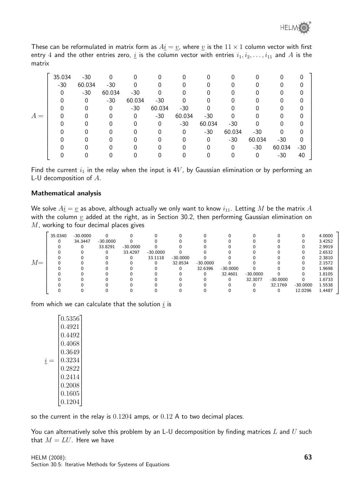These can be reformulated in matrix form as  $A_2 = v$ , where  $v$  is the  $11 \times 1$  column vector with first entry 4 and the other entries zero,  $\underline{i}$  is the column vector with entries  $i_1, i_2, \ldots, i_{11}$  and  $A$  is the matrix

|       | 35.034       | $-30$    |        |        |          |        |        |        |          | 0      | $\mathbf{0}$ |
|-------|--------------|----------|--------|--------|----------|--------|--------|--------|----------|--------|--------------|
|       | $-30$        | 60.034   | $-30$  | 0      |          |        |        |        |          | 0      | 0            |
|       | $\mathbf{0}$ | $-30$    | 60.034 | $-30$  | 0        | 0      |        |        |          |        | 0            |
|       | 0            | $\Omega$ | $-30$  | 60.034 | $-30$    | 0      |        | 0      |          |        | 0            |
|       |              | $\Omega$ | 0      | $-30$  | 60.034   | $-30$  |        |        |          |        | 0            |
| $A =$ |              |          |        | 0      | $-30$    | 60.034 | $-30$  | 0      |          | 0      | 0            |
|       |              |          |        | 0      | $\Omega$ | $-30$  | 60.034 | $-30$  | $\Omega$ |        | 0            |
|       |              | O        |        | 0      | 0        | 0      | $-30$  | 60.034 | $-30$    | O      | 0            |
|       |              |          |        |        |          | 0      | 0      | $-30$  | 60.034   | $-30$  | 0            |
|       |              |          |        |        |          |        | 0      | 0      | $-30$    | 60.034 | $-30$        |
|       |              |          |        |        |          |        |        |        | 0        | $-30$  | 40           |

Find the current  $i_1$  in the relay when the input is  $4V$ , by Gaussian elimination or by performing an L-U decomposition of A.

#### Mathematical analysis

We solve  $A\underline{i} = \underline{v}$  as above, although actually we only want to know  $i_{11}$ . Letting M be the matrix A with the column  $\underline{v}$  added at the right, as in Section 30.2, then performing Gaussian elimination on  $M$ , working to four decimal places gives

|       | 35.0340 | $-30.0000$ |            |            |            |            |            |            |            |            |            | 4.0000 |
|-------|---------|------------|------------|------------|------------|------------|------------|------------|------------|------------|------------|--------|
|       |         | 34.3447    | $-30.0000$ |            |            |            |            |            |            |            |            | 3.4252 |
|       |         | 0          | 33.8291    | $-30.0000$ |            |            |            |            |            |            |            | 2.9919 |
|       |         |            | 0          | 33.4297    | $-30.0000$ |            |            |            |            |            |            | 2.6532 |
|       |         |            |            | 0          | 33.1118    | $-30.0000$ |            |            |            |            |            | 2.3810 |
| $M =$ |         |            |            |            |            | 32.8534    | $-30.0000$ |            |            |            |            | 2.1572 |
|       |         |            |            |            |            | 0          | 32.6396    | $-30.0000$ |            |            |            | 1.9698 |
|       |         |            |            |            |            |            | 0          | 32.4601    | $-30.0000$ |            |            | 1.8105 |
|       |         |            |            |            |            |            |            | 0          | 32.3077    | $-30.0000$ |            | 1.6733 |
|       |         |            |            |            |            |            |            |            |            | 32.1769    | $-30.0000$ | 1.5538 |
|       |         |            |            |            |            |            |            |            |            |            | 12.0296    | 1.4487 |

from which we can calculate that the solution  $\underline{i}$  is

|   | 0.5356       |
|---|--------------|
|   | 0.4921       |
|   | 0.4492       |
|   | 0.4068       |
|   | 0.3649       |
| ı | 0.3234       |
|   | ${0.2822}$   |
|   | 0.2414       |
|   | 0.2008       |
|   | $\,0.1605\,$ |
|   | 0.1204       |

so the current in the relay is 0.1204 amps, or 0.12 A to two decimal places.

You can alternatively solve this problem by an L-U decomposition by finding matrices  $L$  and  $U$  such that  $M = LU$ . Here we have

1

 $\mathbf{I}$  $\overline{1}$  $\overline{\phantom{a}}$  $\overline{\phantom{a}}$  $\mathbf{I}$  $\overline{1}$  $\overline{1}$  $\overline{1}$  $\overline{1}$  $\overline{1}$